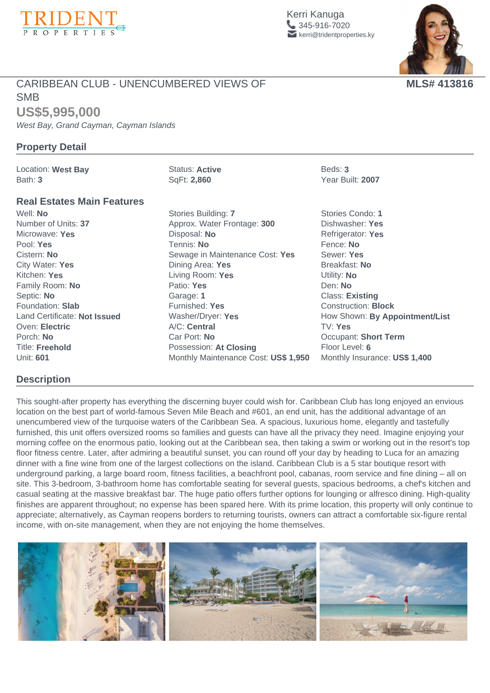

 Kerri Kanuga 345-916-7020 **[kerri@tridentproperties.ky](javascript:;)** 

## CARIBBEAN CLUB - UNENCUMBERED VIEWS OF

**SMB US\$5,995,000**

West Bay, Grand Cayman, Cayman Islands

## **Property Detail**

Location: **West Bay** Status: **Active** Beds: **3** Bath: **3** SqFt: **2,860** Year Built: **2007**

## **Real Estates Main Features**

Well: No **Stories Building: 7** Stories Condo: 1 Number of Units: **37** Approx. Water Frontage: **300** Dishwasher: **Yes** Microwave: **Yes** Disposal: **No** Refrigerator: **Yes** Pool: **Yes** Tennis: **No** Fence: **No** Cistern: **No** Sewage in Maintenance Cost: **Yes** Sewer: **Yes** City Water: **Yes** Dining Area: **Yes** Breakfast: **No** Kitchen: **Yes** Living Room: **Yes** Utility: **No** Family Room: **No** Patio: **Yes** Den: **No** Septic: **No** Garage: **1** Class: **Existing** Foundation: **Slab** Furnished: **Yes** Construction: **Block** Land Certificate: **Not Issued** Washer/Dryer: **Yes** How Shown: **By Appointment/List** Oven: **Electric** A/C: **Central** TV: **Yes** Porch: **No** Car Port: **No** Occupant: **Short Term** Title: **Freehold Possession: At Closing Floor Level: 6** Unit: **601** Monthly Maintenance Cost: **US\$ 1,950** Monthly Insurance: **US\$ 1,400**

## **Description**

This sought-after property has everything the discerning buyer could wish for. Caribbean Club has long enjoyed an envious location on the best part of world-famous Seven Mile Beach and #601, an end unit, has the additional advantage of an unencumbered view of the turquoise waters of the Caribbean Sea. A spacious, luxurious home, elegantly and tastefully furnished, this unit offers oversized rooms so families and guests can have all the privacy they need. Imagine enjoying your morning coffee on the enormous patio, looking out at the Caribbean sea, then taking a swim or working out in the resort's top floor fitness centre. Later, after admiring a beautiful sunset, you can round off your day by heading to Luca for an amazing dinner with a fine wine from one of the largest collections on the island. Caribbean Club is a 5 star boutique resort with underground parking, a large board room, fitness facilities, a beachfront pool, cabanas, room service and fine dining – all on site. This 3-bedroom, 3-bathroom home has comfortable seating for several guests, spacious bedrooms, a chef's kitchen and casual seating at the massive breakfast bar. The huge patio offers further options for lounging or alfresco dining. High-quality finishes are apparent throughout; no expense has been spared here. With its prime location, this property will only continue to appreciate; alternatively, as Cayman reopens borders to returning tourists, owners can attract a comfortable six-figure rental income, with on-site management, when they are not enjoying the home themselves.





**S#**